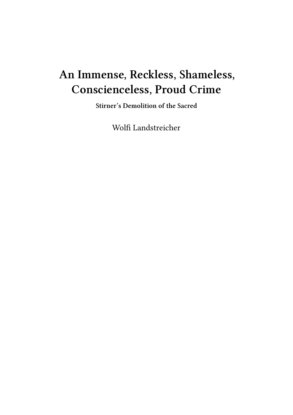## **An Immense, Reckless, Shameless, Conscienceless, Proud Crime**

**Stirner's Demolition of the Sacred**

Wolfi Landstreicher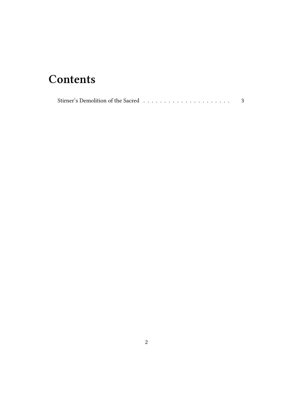## **Contents**

|--|--|--|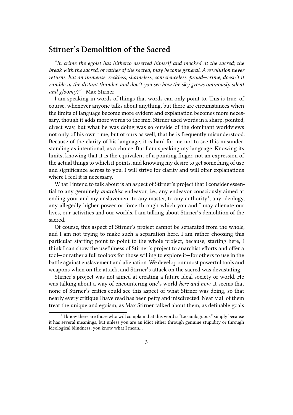## **Stirner's Demolition of the Sacred**

"*In crime the egoist has hitherto asserted himself and mocked at the sacred; the break with the sacred, or rather of the sacred, may become general. A revolution never returns, but an immense, reckless, shameless, conscienceless, proud—crime, doesn't it rumble in the distant thunder, and don't you see how the sky grows ominously silent and gloomy?"*—Max Stirner

I am speaking in words of things that words can only point to. This is true, of course, whenever anyone talks about anything, but there are circumstances when the limits of language become more evident and explanation becomes more necessary, though it adds more words to the mix. Stirner used words in a sharp, pointed, direct way, but what he was doing was so outside of the dominant worldviews not only of his own time, but of ours as well, that he is frequently misunderstood. Because of the clarity of his language, it is hard for me not to see this misunderstanding as intentional, as a choice. But I am speaking my language. Knowing its limits, knowing that it is the equivalent of a pointing finger, not an expression of the actual things to which it points, and knowing my desire to get something of use and significance across to you, I will strive for clarity and will offer explanations where I feel it is necessary.

What I intend to talk about is an aspect of Stirner's project that I consider essential to any genuinely *anarchist* endeavor, i.e., any endeavor consciously aimed at ending your and my enslavement to any master, to any authority<sup>1</sup>, any ideology, any allegedly higher power or force through which you and I may alienate our lives, our activities and our worlds. I am talking about Stirner's demolition of the sacred.

Of course, this aspect of Stirner's project cannot be separated from the whole, and I am not trying to make such a separation here. I am rather choosing this particular starting point to point to the whole project, because, starting here, I think I can show the usefulness of Stirner's project to anarchist efforts and offer a tool—or rather a full toolbox for those willing to explore it—for others to use in the battle against enslavement and alienation. We develop our most powerful tools and weapons when on the attack, and Stirner's attack on the sacred was devastating.

Stirner's project was not aimed at creating a future ideal society or world. He was talking about a way of encountering one's world *here and now*. It seems that none of Stirner's critics could see this aspect of what Stirner was doing, so that nearly every critique I have read has been petty and misdirected. Nearly all of them treat the unique and egoism, as Max Stirner talked about them, as definable goals

<sup>&</sup>lt;sup>1</sup> I know there are those who will complain that this word is "too ambiguous," simply because it has several meanings, but unless you are an idiot either through genuine stupidity or through ideological blindness, you know what I mean…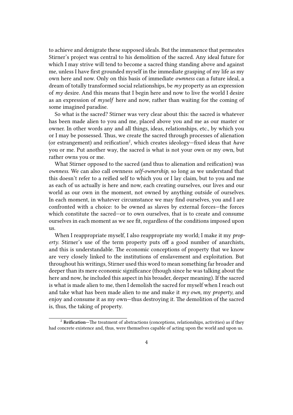to achieve and denigrate these supposed ideals. But the immanence that permeates Stirner's project was central to his demolition of the sacred. Any ideal future for which I may strive will tend to become a sacred thing standing above and against me, unless I have first grounded myself in the immediate grasping of my life as my own here and now. Only on this basis of immediate *ownness* can a future ideal, a dream of totally transformed social relationships, be *my* property as an expression of *my* desire. And this means that I begin here and now to live the world I desire as an expression of *myself* here and now, rather than waiting for the coming of some imagined paradise.

So what is the sacred? Stirner was very clear about this: the sacred is whatever has been made alien to you and me, placed above you and me as our master or owner. In other words any and all things, ideas, relationships, etc., by which you or I may be possessed. Thus, we create the sacred through processes of alienation (or estrangement) and reification<sup>2</sup>, which creates ideology-fixed ideas that *have* you or me. Put another way, the sacred is what is not your own or my own, but rather owns you or me.

What Stirner opposed to the sacred (and thus to alienation and reification) was *ownness*. We can also call ownness *self-ownership*, so long as we understand that this doesn't refer to a reified self to which you or I lay claim, but to you and me as each of us actually is here and now, each creating ourselves, our lives and our world as our own in the moment, not owned by anything outside of ourselves. In each moment, in whatever circumstance we may find ourselves, you and I are confronted with a choice: to be owned as slaves by external forces—the forces which constitute the sacred—or to own ourselves, that is to create and consume ourselves in each moment as we see fit, regardless of the conditions imposed upon us.

When I reappropriate myself, I also reappropriate my world; I make it my *property*. Stirner's use of the term property puts off a good number of anarchists, and this is understandable. The economic conceptions of property that we know are very closely linked to the institutions of enslavement and exploitation. But throughout his writings, Stirner used this word to mean something far broader and deeper than its mere economic significance (though since he was talking about the here and now, he included this aspect in his broader, deeper meaning). If the sacred is what is made alien to me, then I demolish the sacred for myself when I reach out and take what has been made alien to me and make it *my own*, my *property*, and enjoy and consume it as my own—thus destroying it. The demolition of the sacred is, thus, the taking of property.

<sup>2</sup> **Reification—**The treatment of abstractions (conceptions, relationships, activities) as if they had concrete existence and, thus, were themselves capable of acting upon the world and upon us.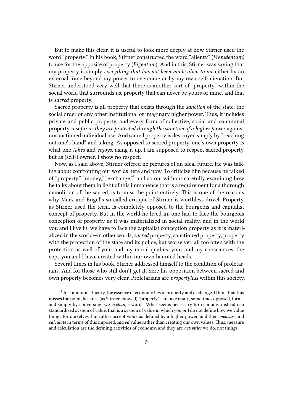But to make this clear, it is useful to look more deeply at how Stirner used the word "property." In his book, Stirner constructed the word "alienty" (*Fremdentum*) to use for the opposite of property (*Eigentum*). And in this, Stirner was saying that my property is simply *everything that has not been made alien to me* either by an external force beyond my power to overcome or by my own self-alienation. But Stirner understood very well that there is another sort of "property" within the social world that surrounds us, property that can never be yours or mine, and that is *sacred* property.

Sacred property is all property that exists through the *sanction* of the state, the social order or any other institutional or imaginary higher power. Thus, it includes private and public property, and every form of collective, social and communal property *insofar as they are protected through the sanction of a higher power* against unsanctioned individual use. And sacred property is destroyed simply by "reaching out one's hand" and taking. As opposed to sacred property, one's own property is what one *takes* and *enjoys*, using it up. I am supposed to respect sacred property, but as (self-) owner, I show no respect.

Now, as I said above, Stirner offered no pictures of an ideal future. He was talking about confronting our worlds here and now. To criticize him because he talked of "property," "money," "exchange,"<sup>3</sup> and so on, without carefully examining how he talks about them in light of this immanence that is a requirement for a thorough demolition of the sacred, is to miss the point entirely. This is one of the reasons why Marx and Engel's so-called critique of Stirner is worthless drivel. Property, as Stirner used the term, is completely opposed to the bourgeois and capitalist concept of property. But in the world he lived in, one had to face the bourgeois conception of property as it was materialized in social reality, and in the world you and I live in, we have to face the capitalist conception property as it is materialized in the world—in other words, *sacred* property, sanctioned property, property with the protection of the state and its police, but worse yet, all too often with the protection as well of your and my moral qualms, your and my consciences, the cops you and I have created within our own haunted heads.

Several times in his book, Stirner addressed himself to the condition of proletarians. And for those who still don't get it, here his opposition between sacred and own property becomes very clear. Proletarians are *propertyless* within this society.

 $3\,$  In communist theory, the essence of economy lies in property and exchange. I think that this misses the point, because (as Stirner showed) "property" can take many, sometimes opposed, forms, and simply by conversing, we *exchange* words. What seems necessary for economy instead is a standardized system of value, that is a system of value in which you or I do not define how we value things for ourselves, but rather accept value as defined by a higher power, and then *measure* and *calculate* in terms of this imposed, *sacred* value rather than creating our own values. Thus, measure and calculation are the defining activities of economy, and they are *activities* we do, not things.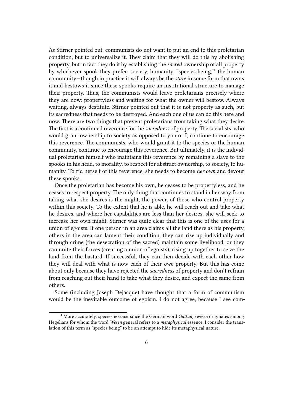As Stirner pointed out, communists do not want to put an end to this proletarian condition, but to universalize it. They claim that they will do this by abolishing property, but in fact they do it by establishing the *sacred* ownership of all property by whichever spook they prefer: society, humanity, "species being,"<sup>4</sup> the human community—though in practice it will always be the *state* in some form that owns it and bestows it since these spooks require an institutional structure to manage their property. Thus, the communists would leave proletarians precisely where they are now: propertyless and waiting for what the owner will bestow. Always waiting, always destitute. Stirner pointed out that it is not property as such, but its sacredness that needs to be destroyed. And each one of us can do this here and now. There are two things that prevent proletarians from taking what they desire. The first is a continued reverence for the *sacredness* of property. The socialists, who would grant ownership to society as opposed to you or I, continue to encourage this reverence. The communists, who would grant it to the species or the human community, continue to encourage this reverence. But ultimately, it is the individual proletarian himself who maintains this reverence by remaining a slave to the spooks in his head, to morality, to respect for abstract ownership, to society, to humanity. To rid herself of this reverence, she needs to become *her own* and devour these spooks.

Once the proletarian has become his own, he ceases to be propertyless, and he ceases to respect property. The only thing that continues to stand in her way from taking what she desires is the might, the power, of those who control property within this society. To the extent that he is able, he will reach out and take what he desires, and where her capabilities are less than her desires, she will seek to increase her own might. Stirner was quite clear that this is one of the uses for a union of egoists. If one person in an area claims all the land there as his property, others in the area can lament their condition, they can rise up individually and through crime (the desecration of the sacred) maintain some livelihood, or they can unite their forces (creating a union of egoists), rising up together to seize the land from the bastard. If successful, they can then decide with each other how they will deal with what is now each of their *own* property. But this has come about only because they have rejected the *sacredness* of property and don't refrain from reaching out their hand to take what they desire, and expect the same from others.

Some (including Joseph Dejacque) have thought that a form of communism would be the inevitable outcome of egoism. I do not agree, because I see com-

<sup>4</sup> More accurately, species *essence*, since the German word *Gattungswesen* originates among Hegelians for whom the word *Wesen* general refers to a *metaphysical* essence. I consider the translation of this term as "species being" to be an attempt to hide its metaphysical nature.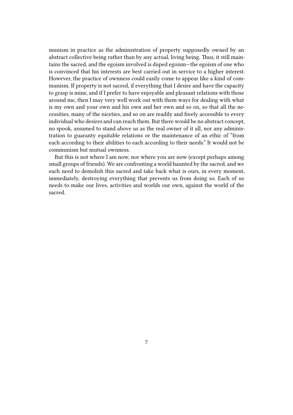munism in practice as the administration of property supposedly owned by an abstract collective being rather than by any actual, living being. Thus, it still maintains the sacred, and the egoism involved is duped egoism—the egoism of one who is convinced that his interests are best carried out in service to a higher interest. However, the practice of ownness could easily come to appear like a kind of communism. If property is not sacred, if everything that I desire and have the capacity to grasp is mine, and if I prefer to have enjoyable and pleasant relations with those around me, then I may very well work out with them ways for dealing with what is my own and your own and his own and her own and so on, so that all the necessities, many of the niceties, and so on are readily and freely accessible to every individual who desires and can reach them. But there would be no abstract concept, no spook, assumed to stand above us as the real owner of it all, nor any administration to guaranty equitable relations or the maintenance of an ethic of "from each according to their abilities to each according to their needs." It would not be communism but mutual ownness.

But this is not where I am now, nor where you are now (except perhaps among small groups of friends). We are confronting a world haunted by the sacred, and we each need to demolish this sacred and take back what is ours, in every moment, immediately, destroying everything that prevents us from doing so. Each of us needs to make our lives, activities and worlds our own, against the world of the sacred.